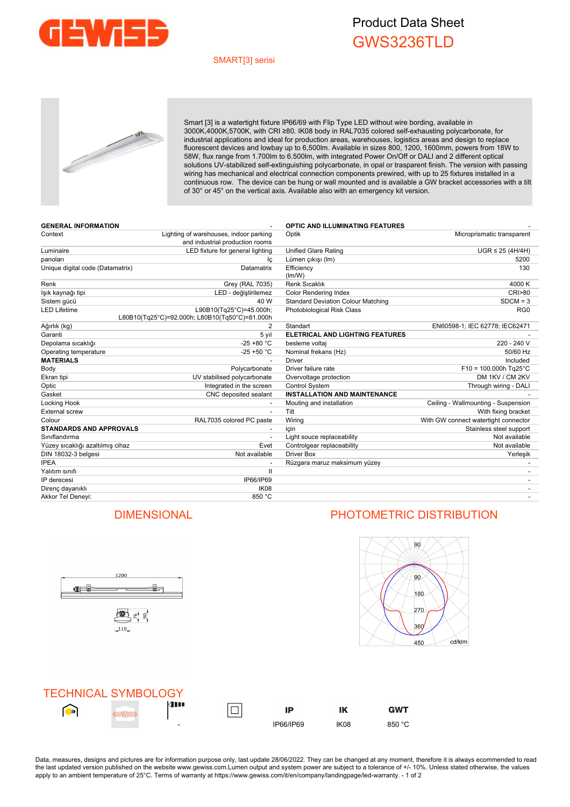

## Product Data Sheet GWS3236TLD

### SMART[3] serisi



Smart [3] is a watertight fixture IP66/69 with Flip Type LED without wire bording, available in 3000K,4000K,5700K, with CRI ≥80. IK08 body in RAL7035 colored self-exhausting polycarbonate, for industrial applications and ideal for production areas, warehouses, logistics areas and design to replace fluorescent devices and lowbay up to 6,500lm. Available in sizes 800, 1200, 1600mm, powers from 18W to 58W, flux range from 1.700lm to 6.500lm, with integrated Power On/Off or DALI and 2 different optical solutions UV-stabilized self-extinguishing polycarbonate, in opal or trasparent finish. The version with passing wiring has mechanical and electrical connection components prewired, with up to 25 fixtures installed in a continuous row. The device can be hung or wall mounted and is available a GW bracket accessories with a tilt of 30° or 45° on the vertical axis. Available also with an emergency kit version.

| <b>GENERAL INFORMATION</b>       |                                                | <b>OPTIC AND ILLUMINATING FEATURES</b>    |                                      |  |
|----------------------------------|------------------------------------------------|-------------------------------------------|--------------------------------------|--|
| Context                          | Lighting of warehouses, indoor parking         | Optik                                     | Microprismatic transparent           |  |
|                                  | and industrial production rooms                |                                           |                                      |  |
| Luminaire                        | LED fixture for general lighting               | <b>Unified Glare Rating</b>               | $UGR \leq 25$ (4H/4H)                |  |
| panoları                         | lç                                             | Lümen çıkışı (Im)                         | 5200                                 |  |
| Unique digital code (Datamatrix) | Datamatrix                                     | Efficiency                                | 130                                  |  |
|                                  |                                                | (lm/W)                                    |                                      |  |
| Renk                             | Grey (RAL 7035)                                | Renk Sıcaklık                             | 4000 K                               |  |
| lşık kaynağı tipi                | LED - değiştirilemez                           | Color Rendering Index                     | <b>CRI&gt;80</b>                     |  |
| Sistem qücü                      | 40 W                                           | <b>Standard Deviation Colour Matching</b> | $SDCM = 3$                           |  |
| <b>LED Lifetime</b>              | L90B10(Tg25°C)=45.000h;                        | Photobiological Risk Class                | RG <sub>0</sub>                      |  |
|                                  | L80B10(Tg25°C)=92.000h; L80B10(Tg50°C)=81.000h |                                           |                                      |  |
| Ağırlık (kg)                     | $\overline{2}$                                 | Standart                                  | EN60598-1; IEC 62778; IEC62471       |  |
| Garanti                          | 5 yıl                                          | <b>ELETRICAL AND LIGHTING FEATURES</b>    |                                      |  |
| Depolama sıcaklığı               | $-25 + 80 °C$                                  | besleme voltaj                            | 220 - 240 V                          |  |
| Operating temperature            | $-25 + 50 °C$                                  | Nominal frekans (Hz)                      | 50/60 Hz                             |  |
| <b>MATERIALS</b>                 |                                                | <b>Driver</b>                             | Included                             |  |
| Body                             | Polycarbonate                                  | Driver failure rate                       | $F10 = 100.000h$ Tg25°C              |  |
| Ekran tipi                       | UV stabilised polycarbonate                    | Overvoltage protection                    | DM 1KV / CM 2KV                      |  |
| Optic                            | Integrated in the screen                       | <b>Control System</b>                     | Through wiring - DALI                |  |
| Gasket                           | CNC deposited sealant                          | <b>INSTALLATION AND MAINTENANCE</b>       |                                      |  |
| Locking Hook                     |                                                | Mouting and installation                  | Ceiling - Wallmounting - Suspension  |  |
| External screw                   | $\overline{\phantom{a}}$                       | Tilt                                      | With fixing bracket                  |  |
| Colour                           | RAL7035 colored PC paste                       | Wiring                                    | With GW connect watertight connector |  |
| <b>STANDARDS AND APPROVALS</b>   |                                                | icin                                      | Stainless steel support              |  |
| Sınıflandırma                    |                                                | Light souce replaceability                | Not available                        |  |
| Yüzey sıcaklığı azaltılmış cihaz | Evet                                           | Controlgear replaceability                | Not available                        |  |
| DIN 18032-3 belgesi              | Not available                                  | Driver Box                                | Yerleşik                             |  |
| <b>IPEA</b>                      |                                                | Rüzgara maruz maksimum yüzey              |                                      |  |
| Yalıtım sınıfı                   | $\mathbf{I}$                                   |                                           |                                      |  |
| IP derecesi                      | IP66/IP69                                      |                                           |                                      |  |
| Direnç dayanıklı                 | IK <sub>08</sub>                               |                                           |                                      |  |
| Akkor Tel Denevi:                | 850 °C                                         |                                           |                                      |  |



## DIMENSIONAL PHOTOMETRIC DISTRIBUTION



| <b>TECHNICAL SYMBOLOGY</b> |                          |           |      |        |
|----------------------------|--------------------------|-----------|------|--------|
| D                          | 4 I I                    | IP        | ΙK   | GWT    |
|                            | $\overline{\phantom{a}}$ | IP66/IP69 | IK08 | 850 °C |

Data, measures, designs and pictures are for information purpose only, last update 28/06/2022. They can be changed at any moment, therefore it is always ecommended to read the last updated version published on the website www.gewiss.com.Lumen output and system power are subject to a tolerance of +/- 10%. Unless stated otherwise, the values apply to an ambient temperature of 25°C. Terms of warranty at https://www.gewiss.com/it/en/company/landingpage/led-warranty. - 1 of 2